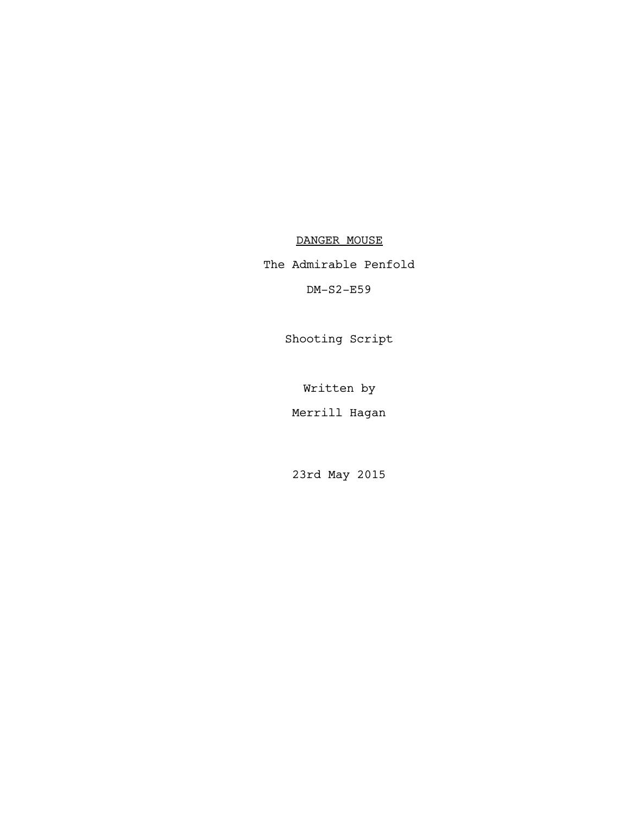DANGER MOUSE

The Admirable Penfold

DM-S2-E59

Shooting Script

Written by

Merrill Hagan

23rd May 2015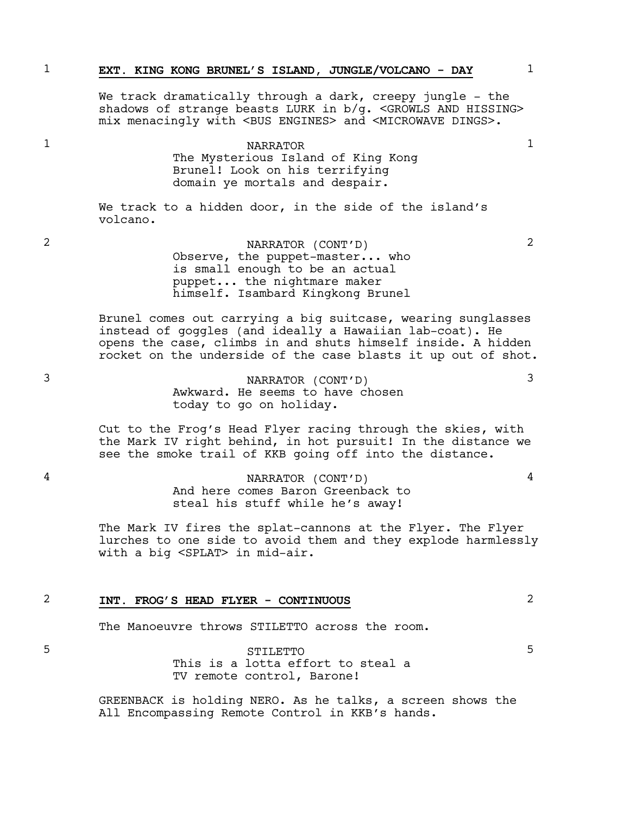|   | EXT. KING KONG BRUNEL'S ISLAND, JUNGLE/VOLCANO - DAY                                                                                                                                                                            |               |
|---|---------------------------------------------------------------------------------------------------------------------------------------------------------------------------------------------------------------------------------|---------------|
|   | We track dramatically through a dark, creepy jungle - the<br>shadows of strange beasts LURK in $b/q$ . <growls and="" hissing=""><br/>mix menacingly with <bus engines=""> and <microwave dings="">.</microwave></bus></growls> |               |
|   | <b>NARRATOR</b><br>The Mysterious Island of King Kong<br>Brunel! Look on his terrifying                                                                                                                                         |               |
|   | domain ye mortals and despair.                                                                                                                                                                                                  |               |
|   | We track to a hidden door, in the side of the island's<br>volcano.                                                                                                                                                              |               |
| 2 | NARRATOR (CONT'D)<br>Observe, the puppet-master who<br>is small enough to be an actual<br>puppet the nightmare maker<br>himself. Isambard Kingkong Brunel                                                                       | $\mathcal{L}$ |
|   | Brunel comes out carrying a big suitcase, wearing sunglasses                                                                                                                                                                    |               |

instead of goggles (and ideally a Hawaiian lab-coat). He opens the case, climbs in and shuts himself inside. A hidden rocket on the underside of the case blasts it up out of shot.

3 NARRATOR (CONT'D) 3 Awkward. He seems to have chosen today to go on holiday.

> Cut to the Frog's Head Flyer racing through the skies, with the Mark IV right behind, in hot pursuit! In the distance we see the smoke trail of KKB going off into the distance.

4 NARRATOR (CONT'D) 4 And here comes Baron Greenback to steal his stuff while he's away!

> The Mark IV fires the splat-cannons at the Flyer. The Flyer lurches to one side to avoid them and they explode harmlessly with a big <SPLAT> in mid-air.

### 2 **INT. FROG'S HEAD FLYER - CONTINUOUS** 2

The Manoeuvre throws STILETTO across the room.

5 STILETTO 5 This is a lotta effort to steal a TV remote control, Barone!

> GREENBACK is holding NERO. As he talks, a screen shows the All Encompassing Remote Control in KKB's hands.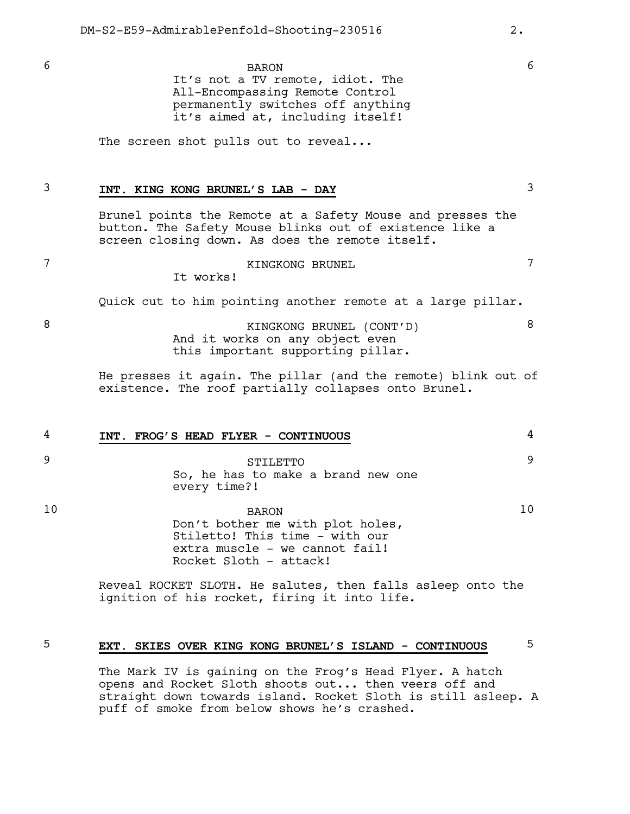6 BARON 6 It's not a TV remote, idiot. The All-Encompassing Remote Control permanently switches off anything it's aimed at, including itself!

The screen shot pulls out to reveal...

# 3 **INT. KING KONG BRUNEL'S LAB - DAY** 3

Brunel points the Remote at a Safety Mouse and presses the button. The Safety Mouse blinks out of existence like a screen closing down. As does the remote itself.

### 7 KINGKONG BRUNEL 7

It works!

Quick cut to him pointing another remote at a large pillar.

8 KINGKONG BRUNEL (CONT'D) 8 And it works on any object even this important supporting pillar.

> He presses it again. The pillar (and the remote) blink out of existence. The roof partially collapses onto Brunel.

4 **INT. FROG'S HEAD FLYER - CONTINUOUS** 4

9 STILETTO 9 So, he has to make a brand new one every time?!

10 BARON 10 Don't bother me with plot holes, Stiletto! This time - with our extra muscle - we cannot fail! Rocket Sloth - attack!

> Reveal ROCKET SLOTH. He salutes, then falls asleep onto the ignition of his rocket, firing it into life.

### 5 **EXT. SKIES OVER KING KONG BRUNEL'S ISLAND - CONTINUOUS** 5

The Mark IV is gaining on the Frog's Head Flyer. A hatch opens and Rocket Sloth shoots out... then veers off and straight down towards island. Rocket Sloth is still asleep. A puff of smoke from below shows he's crashed.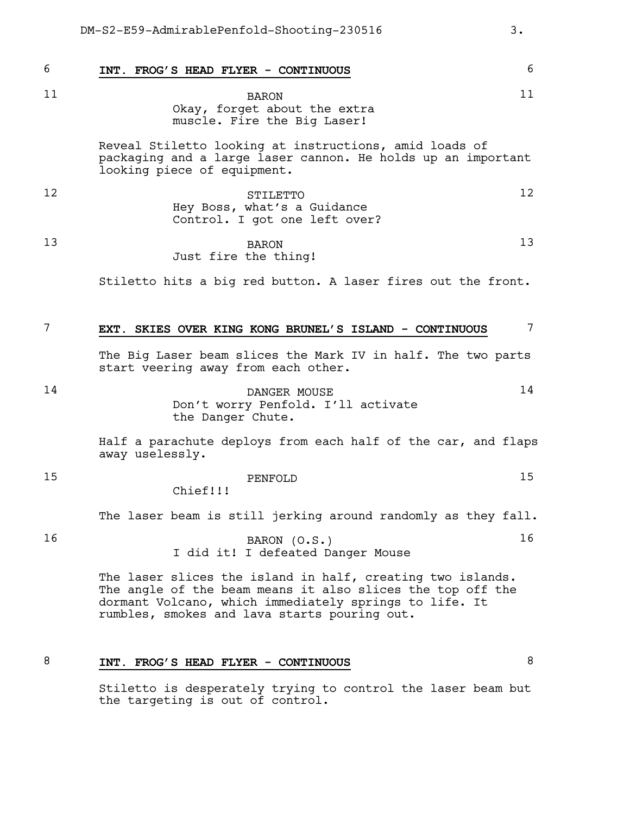6 **INT. FROG'S HEAD FLYER - CONTINUOUS** 6 11 BARON 11 Okay, forget about the extra muscle. Fire the Big Laser! Reveal Stiletto looking at instructions, amid loads of packaging and a large laser cannon. He holds up an important looking piece of equipment. 12 STILETTO 12 Hey Boss, what's a Guidance Control. I got one left over? 13 BARON 13 Just fire the thing! Stiletto hits a big red button. A laser fires out the front. 7 **EXT. SKIES OVER KING KONG BRUNEL'S ISLAND - CONTINUOUS** 7 The Big Laser beam slices the Mark IV in half. The two parts start veering away from each other. 14 DANGER MOUSE 14 Don't worry Penfold. I'll activate the Danger Chute. Half a parachute deploys from each half of the car, and flaps away uselessly. 15 **PENFOLD PENFOLD** 15 Chief!!! The laser beam is still jerking around randomly as they fall. 16 BARON (0.S.) 16 I did it! I defeated Danger Mouse The laser slices the island in half, creating two islands. The angle of the beam means it also slices the top off the dormant Volcano, which immediately springs to life. It rumbles, smokes and lava starts pouring out. DM-S2-E59-AdmirablePenfold-Shooting-230516 3.

### 8 **INT. FROG'S HEAD FLYER - CONTINUOUS** 8

Stiletto is desperately trying to control the laser beam but the targeting is out of control.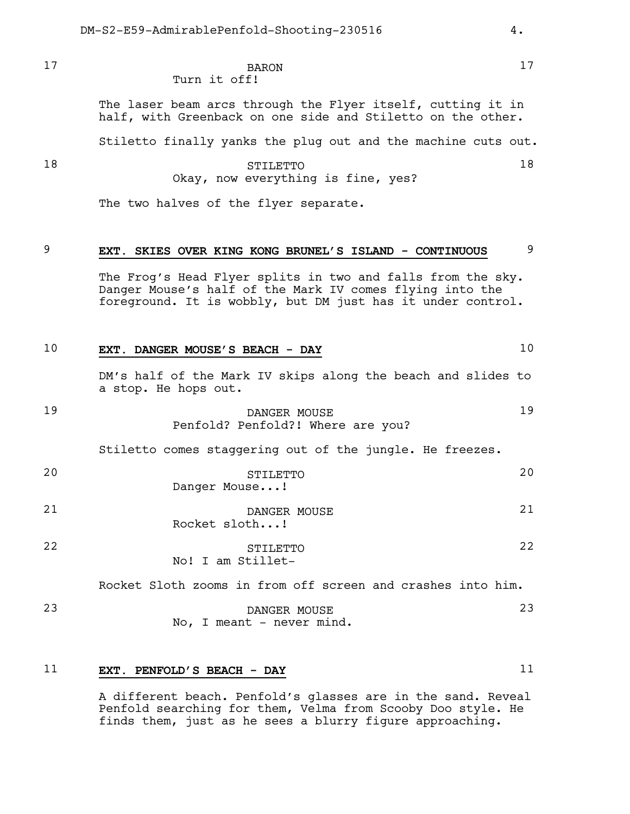17 BARON 17 Turn it off!

> The laser beam arcs through the Flyer itself, cutting it in half, with Greenback on one side and Stiletto on the other.

Stiletto finally yanks the plug out and the machine cuts out.

### 18 STILETTO 18 Okay, now everything is fine, yes?

The two halves of the flyer separate.

# 9 **EXT. SKIES OVER KING KONG BRUNEL'S ISLAND - CONTINUOUS** 9

The Frog's Head Flyer splits in two and falls from the sky. Danger Mouse's half of the Mark IV comes flying into the foreground. It is wobbly, but DM just has it under control.

| 10 | EXT. DANGER MOUSE'S BEACH - DAY                                                      | 10  |
|----|--------------------------------------------------------------------------------------|-----|
|    | DM's half of the Mark IV skips along the beach and slides to<br>a stop. He hops out. |     |
| 19 | DANGER MOUSE<br>Penfold? Penfold?! Where are you?                                    | 19  |
|    | Stiletto comes staggering out of the jungle. He freezes.                             |     |
| 20 | STILETTO<br>Danger Mouse!                                                            | 2.0 |
| 21 | DANGER MOUSE<br>Rocket sloth!                                                        | 21  |
| 22 | STILETTO<br>No! I am Stillet-                                                        | 2.2 |
|    | Rocket Sloth zooms in from off screen and crashes into him.                          |     |

23 DANGER MOUSE 23 No, I meant - never mind.

## 11 **EXT. PENFOLD'S BEACH - DAY** 11

A different beach. Penfold's glasses are in the sand. Reveal Penfold searching for them, Velma from Scooby Doo style. He finds them, just as he sees a blurry figure approaching.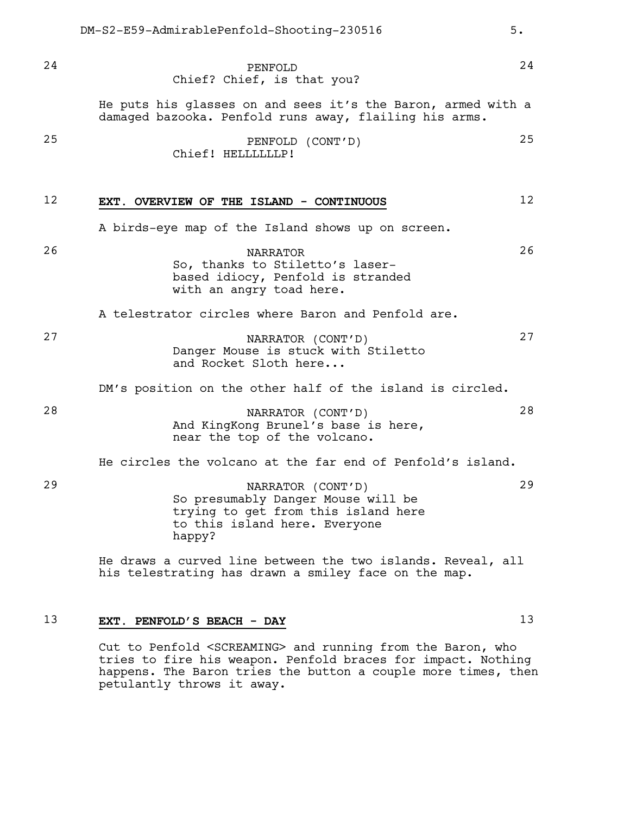Chief? Chief, is that you? He puts his glasses on and sees it's the Baron, armed with a damaged bazooka. Penfold runs away, flailing his arms. 25 PENFOLD (CONT'D) 25 Chief! HELLLLLLP! 12 **EXT. OVERVIEW OF THE ISLAND - CONTINUOUS** 12 A birds-eye map of the Island shows up on screen. 26 NARRATOR 26 So, thanks to Stiletto's laserbased idiocy, Penfold is stranded with an angry toad here.

A telestrator circles where Baron and Penfold are.

27 NARRATOR (CONT'D) 27 Danger Mouse is stuck with Stiletto and Rocket Sloth here...

DM's position on the other half of the island is circled.

28 NARRATOR (CONT'D) 28 And KingKong Brunel's base is here, near the top of the volcano.

He circles the volcano at the far end of Penfold's island.

29 NARRATOR (CONT'D) 29 So presumably Danger Mouse will be trying to get from this island here to this island here. Everyone happy?

> He draws a curved line between the two islands. Reveal, all his telestrating has drawn a smiley face on the map.

## 13 **EXT. PENFOLD'S BEACH - DAY** 13

Cut to Penfold <SCREAMING> and running from the Baron, who tries to fire his weapon. Penfold braces for impact. Nothing happens. The Baron tries the button a couple more times, then petulantly throws it away.

24 **PENFOLD** 24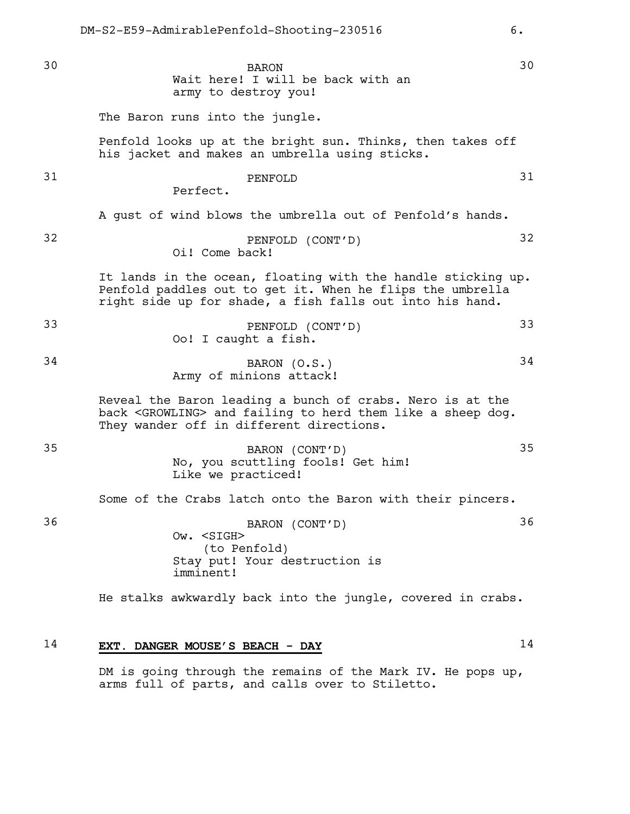30 BARON 30 Wait here! I will be back with an army to destroy you!

The Baron runs into the jungle.

Penfold looks up at the bright sun. Thinks, then takes off his jacket and makes an umbrella using sticks.

# 31 PENFOLD 31

Perfect.

A gust of wind blows the umbrella out of Penfold's hands.

32 PENFOLD (CONT'D) 32 Oi! Come back!

> It lands in the ocean, floating with the handle sticking up. Penfold paddles out to get it. When he flips the umbrella right side up for shade, a fish falls out into his hand.

33 PENFOLD (CONT'D) 33 Oo! I caught a fish.

# 34 BARON (0.S.) 34 Army of minions attack!

Reveal the Baron leading a bunch of crabs. Nero is at the back <GROWLING> and failing to herd them like a sheep dog. They wander off in different directions.

35 BARON (CONT'D) 35 No, you scuttling fools! Get him! Like we practiced!

Some of the Crabs latch onto the Baron with their pincers.

36 BARON (CONT'D) 36 Ow. <SIGH> (to Penfold) Stay put! Your destruction is imminent!

He stalks awkwardly back into the jungle, covered in crabs.

## 14 **EXT. DANGER MOUSE'S BEACH - DAY** 14

DM is going through the remains of the Mark IV. He pops up, arms full of parts, and calls over to Stiletto.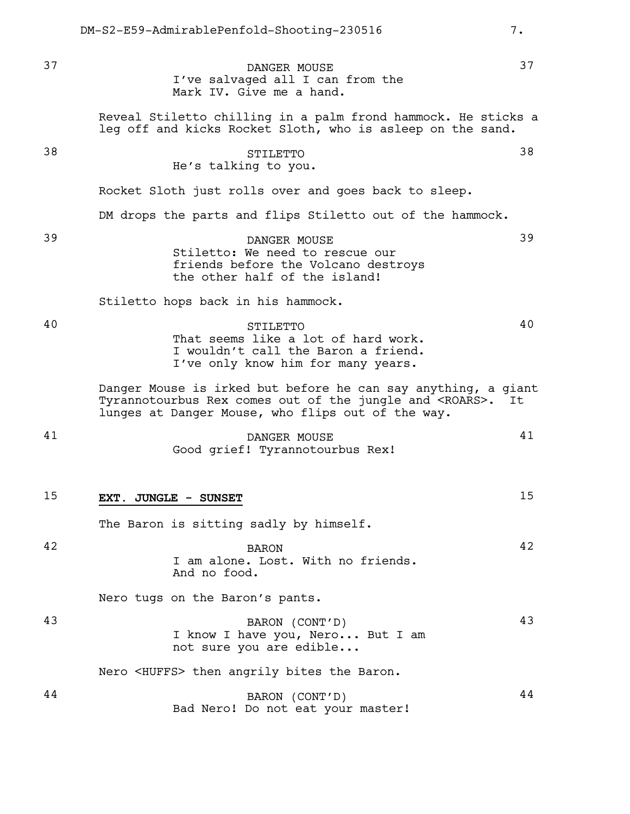37 DANGER MOUSE 37 I've salvaged all I can from the Mark IV. Give me a hand. Reveal Stiletto chilling in a palm frond hammock. He sticks a leg off and kicks Rocket Sloth, who is asleep on the sand. 38 STILETTO 38 He's talking to you. Rocket Sloth just rolls over and goes back to sleep. DM drops the parts and flips Stiletto out of the hammock. 39 DANGER MOUSE 39 Stiletto: We need to rescue our friends before the Volcano destroys the other half of the island! Stiletto hops back in his hammock. 40 STILETTO 40 That seems like a lot of hard work. I wouldn't call the Baron a friend. I've only know him for many years. Danger Mouse is irked but before he can say anything, a giant<br>Tyrannotourbus Rex comes out of the jungle and <ROARS>. It Tyrannotourbus Rex comes out of the jungle and <ROARS>. lunges at Danger Mouse, who flips out of the way. 41 DANGER MOUSE 41 Good grief! Tyrannotourbus Rex! 15 **EXT. JUNGLE - SUNSET** 15 The Baron is sitting sadly by himself. 42 BARON 42 I am alone. Lost. With no friends. And no food. Nero tugs on the Baron's pants. 43 BARON (CONT'D) 43 I know I have you, Nero... But I am not sure you are edible... Nero <HUFFS> then angrily bites the Baron. 44 BARON (CONT'D) 44 Bad Nero! Do not eat your master!

DM-S2-E59-AdmirablePenfold-Shooting-230516 7.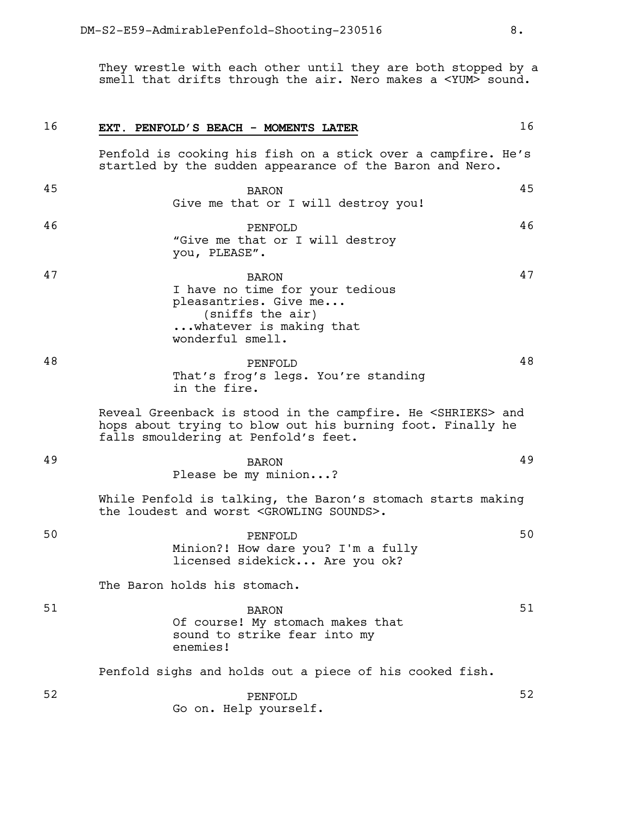They wrestle with each other until they are both stopped by a smell that drifts through the air. Nero makes a <YUM> sound.

16 **EXT. PENFOLD'S BEACH - MOMENTS LATER** 16

|    | Penfold is cooking his fish on a stick over a campfire. He's<br>startled by the sudden appearance of the Baron and Nero.                                                      |     |
|----|-------------------------------------------------------------------------------------------------------------------------------------------------------------------------------|-----|
| 45 | <b>BARON</b><br>Give me that or I will destroy you!                                                                                                                           | 45  |
| 46 | PENFOLD<br>"Give me that or I will destroy<br>you, PLEASE".                                                                                                                   | 46  |
| 47 | <b>BARON</b><br>I have no time for your tedious<br>pleasantries. Give me<br>(sniffs the air)<br>whatever is making that<br>wonderful smell.                                   | 47  |
| 48 | PENFOLD<br>That's frog's legs. You're standing<br>in the fire.                                                                                                                | 48. |
|    | Reveal Greenback is stood in the campfire. He <shrieks> and<br/>hops about trying to blow out his burning foot. Finally he<br/>falls smouldering at Penfold's feet.</shrieks> |     |
| 49 | <b>BARON</b><br>Please be my minion?                                                                                                                                          | 49  |
|    | While Penfold is talking, the Baron's stomach starts making<br>the loudest and worst <growling sounds="">.</growling>                                                         |     |
| 50 | PENFOLD<br>Minion?! How dare you? I'm a fully<br>licensed sidekick Are you ok?                                                                                                | 50  |
|    | The Baron holds his stomach.                                                                                                                                                  |     |
| 51 | <b>BARON</b><br>Of course! My stomach makes that<br>sound to strike fear into my<br>enemies!                                                                                  | 51  |
|    | Penfold sighs and holds out a piece of his cooked fish.                                                                                                                       |     |
| 52 | PENFOLD<br>Go on. Help yourself.                                                                                                                                              | 52  |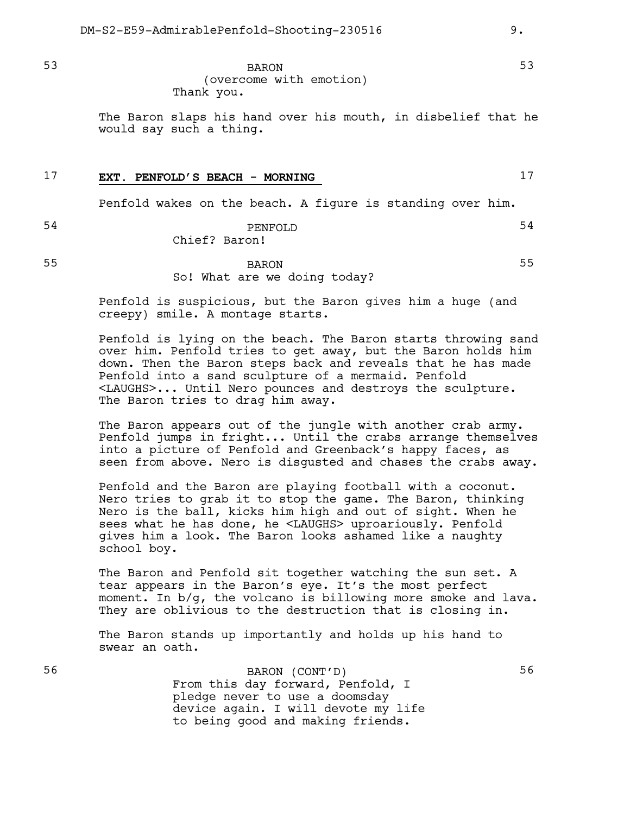53 BARON 53 (overcome with emotion) Thank you.

> The Baron slaps his hand over his mouth, in disbelief that he would say such a thing.

## 17 **EXT. PENFOLD'S BEACH - MORNING** 17

Penfold wakes on the beach. A figure is standing over him.

#### 54 PENFOLD 54 Chief? Baron!

#### 55 BARON 55 So! What are we doing today?

Penfold is suspicious, but the Baron gives him a huge (and creepy) smile. A montage starts.

Penfold is lying on the beach. The Baron starts throwing sand over him. Penfold tries to get away, but the Baron holds him down. Then the Baron steps back and reveals that he has made Penfold into a sand sculpture of a mermaid. Penfold <LAUGHS>... Until Nero pounces and destroys the sculpture. The Baron tries to drag him away.

The Baron appears out of the jungle with another crab army. Penfold jumps in fright... Until the crabs arrange themselves into a picture of Penfold and Greenback's happy faces, as seen from above. Nero is disgusted and chases the crabs away.

Penfold and the Baron are playing football with a coconut. Nero tries to grab it to stop the game. The Baron, thinking Nero is the ball, kicks him high and out of sight. When he sees what he has done, he <LAUGHS> uproariously. Penfold gives him a look. The Baron looks ashamed like a naughty school boy.

The Baron and Penfold sit together watching the sun set. A tear appears in the Baron's eye. It's the most perfect moment. In b/g, the volcano is billowing more smoke and lava. They are oblivious to the destruction that is closing in.

The Baron stands up importantly and holds up his hand to swear an oath.

56 BARON (CONT'D) 56 From this day forward, Penfold, I pledge never to use a doomsday device again. I will devote my life to being good and making friends.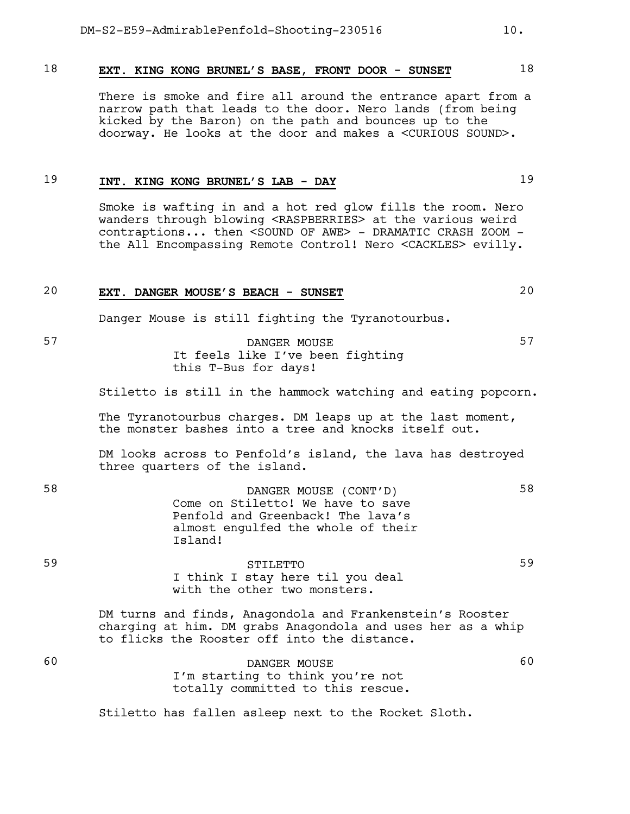#### 18 **EXT. KING KONG BRUNEL'S BASE, FRONT DOOR - SUNSET** 18

There is smoke and fire all around the entrance apart from a narrow path that leads to the door. Nero lands (from being kicked by the Baron) on the path and bounces up to the doorway. He looks at the door and makes a <CURIOUS SOUND>.

#### 19 **INT. KING KONG BRUNEL'S LAB - DAY** 19

Smoke is wafting in and a hot red glow fills the room. Nero wanders through blowing <RASPBERRIES> at the various weird contraptions... then <SOUND OF AWE> - DRAMATIC CRASH ZOOM the All Encompassing Remote Control! Nero <CACKLES> evilly.

#### 20 **EXT. DANGER MOUSE'S BEACH - SUNSET** 20

Danger Mouse is still fighting the Tyranotourbus.

### 57 DANGER MOUSE 57 It feels like I've been fighting this T-Bus for days!

Stiletto is still in the hammock watching and eating popcorn.

The Tyranotourbus charges. DM leaps up at the last moment, the monster bashes into a tree and knocks itself out.

DM looks across to Penfold's island, the lava has destroyed three quarters of the island.

58 DANGER MOUSE (CONT'D) 58 Come on Stiletto! We have to save Penfold and Greenback! The lava's almost engulfed the whole of their Island!

59 STILETTO 59 I think I stay here til you deal with the other two monsters.

> DM turns and finds, Anagondola and Frankenstein's Rooster charging at him. DM grabs Anagondola and uses her as a whip to flicks the Rooster off into the distance.

60 DANGER MOUSE 60 I'm starting to think you're not totally committed to this rescue.

Stiletto has fallen asleep next to the Rocket Sloth.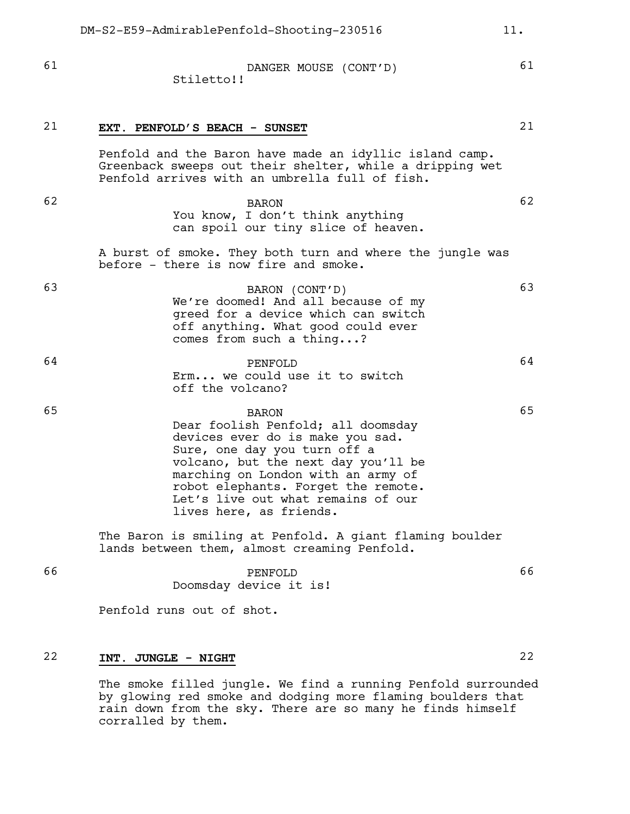| 61 | DANGER MOUSE (CONT'D)<br>Stiletto!!                                                                                                                                                                                                                                                                         | 61 |
|----|-------------------------------------------------------------------------------------------------------------------------------------------------------------------------------------------------------------------------------------------------------------------------------------------------------------|----|
| 21 | EXT. PENFOLD'S BEACH - SUNSET                                                                                                                                                                                                                                                                               | 21 |
|    | Penfold and the Baron have made an idyllic island camp.<br>Greenback sweeps out their shelter, while a dripping wet<br>Penfold arrives with an umbrella full of fish.                                                                                                                                       |    |
| 62 | <b>BARON</b><br>You know, I don't think anything<br>can spoil our tiny slice of heaven.                                                                                                                                                                                                                     | 62 |
|    | A burst of smoke. They both turn and where the jungle was<br>before - there is now fire and smoke.                                                                                                                                                                                                          |    |
| 63 | BARON (CONT'D)<br>We're doomed! And all because of my<br>greed for a device which can switch<br>off anything. What good could ever<br>comes from such a thing?                                                                                                                                              | 63 |
| 64 | PENFOLD<br>Erm we could use it to switch<br>off the volcano?                                                                                                                                                                                                                                                | 64 |
| 65 | <b>BARON</b><br>Dear foolish Penfold; all doomsday<br>devices ever do is make you sad.<br>Sure, one day you turn off a<br>volcano, but the next day you'll be<br>marching on London with an army of<br>robot elephants. Forget the remote.<br>Let's live out what remains of our<br>lives here, as friends. | 65 |
|    | The Baron is smiling at Penfold. A giant flaming boulder<br>lands between them, almost creaming Penfold.                                                                                                                                                                                                    |    |
| 66 | PENFOLD<br>Doomsday device it is!                                                                                                                                                                                                                                                                           | 66 |
|    | Penfold runs out of shot.                                                                                                                                                                                                                                                                                   |    |
| 22 | INT. JUNGLE - NIGHT                                                                                                                                                                                                                                                                                         | 22 |
|    | The amake $f_1$ , $d$ iungle $W_0$<br>find a running Donfold qurroundom                                                                                                                                                                                                                                     |    |

The smoke filled jungle. We find a running Penfold surrounded by glowing red smoke and dodging more flaming boulders that rain down from the sky. There are so many he finds himself corralled by them.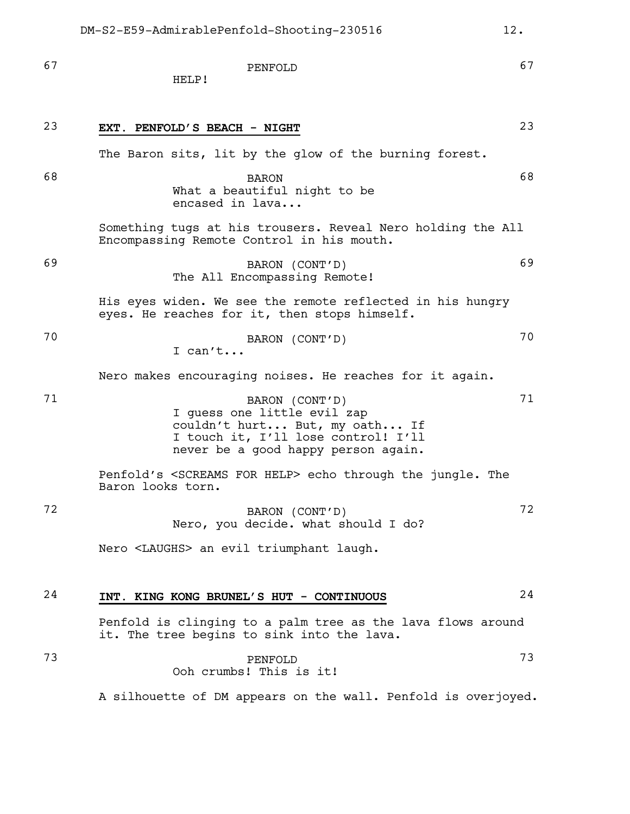67 PENFOLD 67 HELP! 23 **EXT. PENFOLD'S BEACH - NIGHT** 23 The Baron sits, lit by the glow of the burning forest. 68 BARON 68 What a beautiful night to be encased in lava... Something tugs at his trousers. Reveal Nero holding the All Encompassing Remote Control in his mouth. 69 BARON (CONT'D) 69 The All Encompassing Remote! His eyes widen. We see the remote reflected in his hungry eyes. He reaches for it, then stops himself. 70 BARON (CONT'D) 70 I can't... Nero makes encouraging noises. He reaches for it again. 71 BARON (CONT'D) 71 I guess one little evil zap couldn't hurt... But, my oath... If I touch it, I'll lose control! I'll never be a good happy person again. Penfold's <SCREAMS FOR HELP> echo through the jungle. The Baron looks torn. 72 BARON (CONT'D) 72 Nero, you decide. what should I do? Nero <LAUGHS> an evil triumphant laugh. 24 **INT. KING KONG BRUNEL'S HUT - CONTINUOUS** 24 Penfold is clinging to a palm tree as the lava flows around it. The tree begins to sink into the lava. 73 PENFOLD 73

Ooh crumbs! This is it!

A silhouette of DM appears on the wall. Penfold is overjoyed.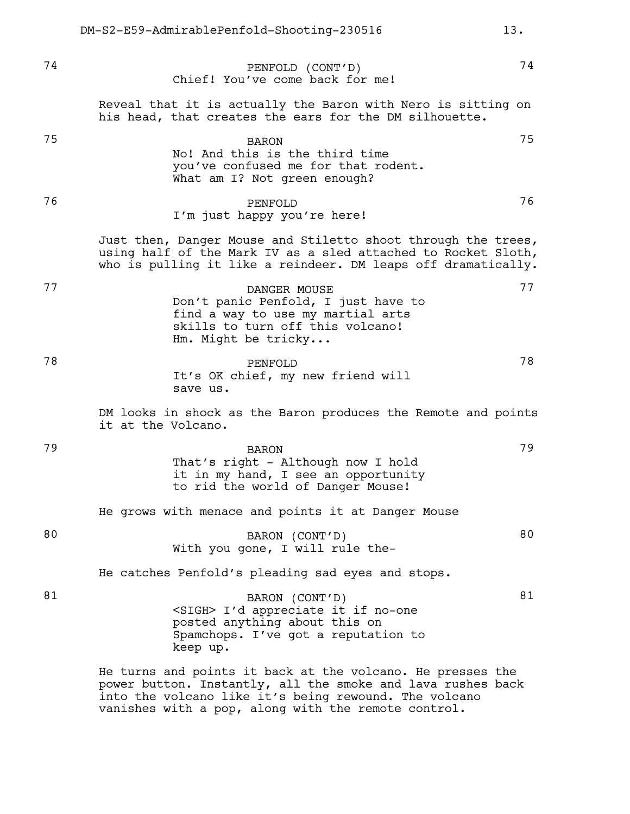74 PENFOLD (CONT'D) 74 Chief! You've come back for me! Reveal that it is actually the Baron with Nero is sitting on his head, that creates the ears for the DM silhouette. 75 BARON 75 No! And this is the third time you've confused me for that rodent. What am I? Not green enough? 76 PENFOLD 76 I'm just happy you're here! Just then, Danger Mouse and Stiletto shoot through the trees, using half of the Mark IV as a sled attached to Rocket Sloth, who is pulling it like a reindeer. DM leaps off dramatically. 77 DANGER MOUSE 77 Don't panic Penfold, I just have to find a way to use my martial arts skills to turn off this volcano! Hm. Might be tricky... 78 PENFOLD 78 It's OK chief, my new friend will save us. DM looks in shock as the Baron produces the Remote and points it at the Volcano. 79 BARON 79 That's right - Although now I hold it in my hand, I see an opportunity to rid the world of Danger Mouse! He grows with menace and points it at Danger Mouse 80 BARON (CONT'D) 80 With you gone, I will rule the-He catches Penfold's pleading sad eyes and stops. 81 BARON (CONT'D) 81 <SIGH> I'd appreciate it if no-one posted anything about this on Spamchops. I've got a reputation to DM-S2-E59-AdmirablePenfold-Shooting-230516 13.

> He turns and points it back at the volcano. He presses the power button. Instantly, all the smoke and lava rushes back into the volcano like it's being rewound. The volcano vanishes with a pop, along with the remote control.

keep up.